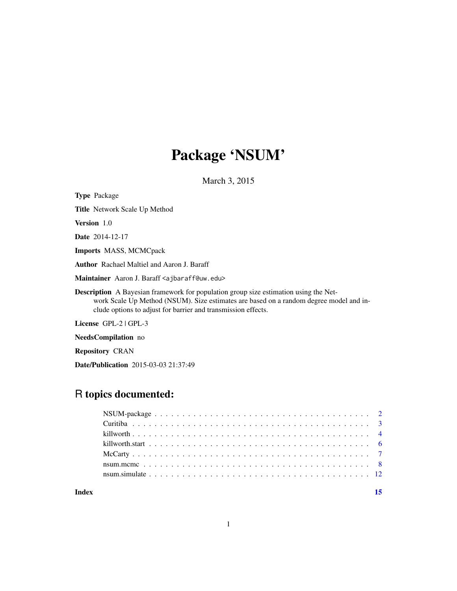# Package 'NSUM'

March 3, 2015

| <b>Type Package</b>                                                                                                                                                                                                                                    |
|--------------------------------------------------------------------------------------------------------------------------------------------------------------------------------------------------------------------------------------------------------|
| <b>Title</b> Network Scale Up Method                                                                                                                                                                                                                   |
| <b>Version</b> 1.0                                                                                                                                                                                                                                     |
| <b>Date</b> 2014-12-17                                                                                                                                                                                                                                 |
| <b>Imports MASS, MCMCpack</b>                                                                                                                                                                                                                          |
| <b>Author</b> Rachael Maltiel and Aaron J. Baraff                                                                                                                                                                                                      |
| Maintainer Aaron J. Baraff <ajbaraff@uw.edu></ajbaraff@uw.edu>                                                                                                                                                                                         |
| <b>Description</b> A Bayesian framework for population group size estimation using the Net-<br>work Scale Up Method (NSUM). Size estimates are based on a random degree model and in-<br>clude options to adjust for barrier and transmission effects. |
| License GPL-2   GPL-3                                                                                                                                                                                                                                  |
| <b>NeedsCompilation</b> no                                                                                                                                                                                                                             |

Repository CRAN

Date/Publication 2015-03-03 21:37:49

# R topics documented:

| Index |  |
|-------|--|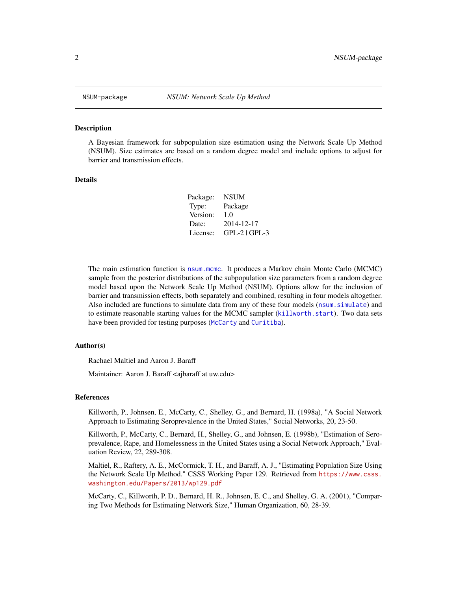<span id="page-1-0"></span>

#### Description

A Bayesian framework for subpopulation size estimation using the Network Scale Up Method (NSUM). Size estimates are based on a random degree model and include options to adjust for barrier and transmission effects.

#### Details

| Package: | <b>NSUM</b>     |
|----------|-----------------|
| Type:    | Package         |
| Version: | 1.0             |
| Date:    | 2014-12-17      |
| License: | $GPL-2$ $GPL-3$ |

The main estimation function is [nsum.mcmc](#page-7-1). It produces a Markov chain Monte Carlo (MCMC) sample from the posterior distributions of the subpopulation size parameters from a random degree model based upon the Network Scale Up Method (NSUM). Options allow for the inclusion of barrier and transmission effects, both separately and combined, resulting in four models altogether. Also included are functions to simulate data from any of these four models ([nsum.simulate](#page-11-1)) and to estimate reasonable starting values for the MCMC sampler ([killworth.start](#page-5-1)). Two data sets have been provided for testing purposes ([McCarty](#page-6-1) and [Curitiba](#page-2-1)).

#### Author(s)

Rachael Maltiel and Aaron J. Baraff

Maintainer: Aaron J. Baraff <ajbaraff at uw.edu>

#### References

Killworth, P., Johnsen, E., McCarty, C., Shelley, G., and Bernard, H. (1998a), "A Social Network Approach to Estimating Seroprevalence in the United States," Social Networks, 20, 23-50.

Killworth, P., McCarty, C., Bernard, H., Shelley, G., and Johnsen, E. (1998b), "Estimation of Seroprevalence, Rape, and Homelessness in the United States using a Social Network Approach," Evaluation Review, 22, 289-308.

Maltiel, R., Raftery, A. E., McCormick, T. H., and Baraff, A. J., "Estimating Population Size Using the Network Scale Up Method." CSSS Working Paper 129. Retrieved from [https://www.csss.](https://www.csss.washington.edu/Papers/2013/wp129.pdf) [washington.edu/Papers/2013/wp129.pdf](https://www.csss.washington.edu/Papers/2013/wp129.pdf)

McCarty, C., Killworth, P. D., Bernard, H. R., Johnsen, E. C., and Shelley, G. A. (2001), "Comparing Two Methods for Estimating Network Size," Human Organization, 60, 28-39.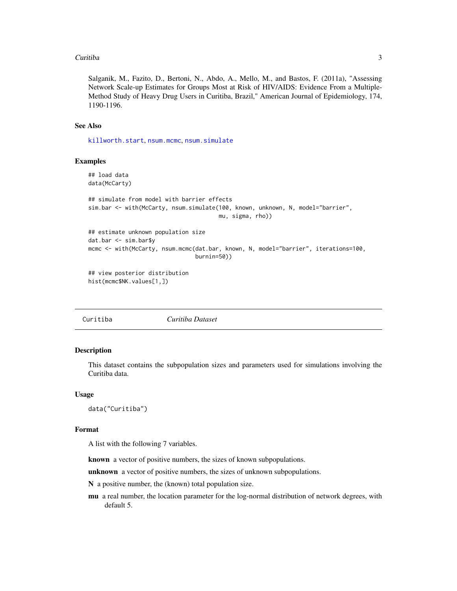#### <span id="page-2-0"></span>Curitiba 3

Salganik, M., Fazito, D., Bertoni, N., Abdo, A., Mello, M., and Bastos, F. (2011a), "Assessing Network Scale-up Estimates for Groups Most at Risk of HIV/AIDS: Evidence From a Multiple-Method Study of Heavy Drug Users in Curitiba, Brazil," American Journal of Epidemiology, 174, 1190-1196.

#### See Also

[killworth.start](#page-5-1), [nsum.mcmc](#page-7-1), [nsum.simulate](#page-11-1)

#### Examples

```
## load data
data(McCarty)
## simulate from model with barrier effects
sim.bar <- with(McCarty, nsum.simulate(100, known, unknown, N, model="barrier",
                                       mu, sigma, rho))
## estimate unknown population size
dat.bar <- sim.bar$y
mcmc <- with(McCarty, nsum.mcmc(dat.bar, known, N, model="barrier", iterations=100,
                                burnin=50))
## view posterior distribution
hist(mcmc$NK.values[1,])
```
<span id="page-2-1"></span>

Curitiba *Curitiba Dataset*

#### Description

This dataset contains the subpopulation sizes and parameters used for simulations involving the Curitiba data.

#### Usage

data("Curitiba")

#### Format

A list with the following 7 variables.

known a vector of positive numbers, the sizes of known subpopulations.

unknown a vector of positive numbers, the sizes of unknown subpopulations.

N a positive number, the (known) total population size.

mu a real number, the location parameter for the log-normal distribution of network degrees, with default 5.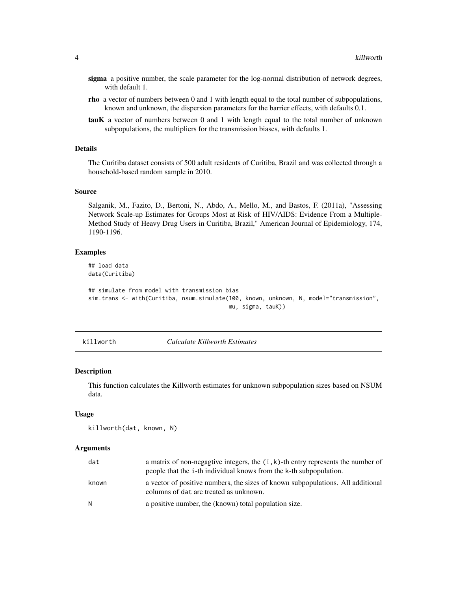- <span id="page-3-0"></span>sigma a positive number, the scale parameter for the log-normal distribution of network degrees, with default 1.
- rho a vector of numbers between 0 and 1 with length equal to the total number of subpopulations, known and unknown, the dispersion parameters for the barrier effects, with defaults 0.1.
- tauK a vector of numbers between 0 and 1 with length equal to the total number of unknown subpopulations, the multipliers for the transmission biases, with defaults 1.

# Details

The Curitiba dataset consists of 500 adult residents of Curitiba, Brazil and was collected through a household-based random sample in 2010.

#### Source

Salganik, M., Fazito, D., Bertoni, N., Abdo, A., Mello, M., and Bastos, F. (2011a), "Assessing Network Scale-up Estimates for Groups Most at Risk of HIV/AIDS: Evidence From a Multiple-Method Study of Heavy Drug Users in Curitiba, Brazil," American Journal of Epidemiology, 174, 1190-1196.

#### Examples

## load data data(Curitiba)

```
## simulate from model with transmission bias
sim.trans <- with(Curitiba, nsum.simulate(100, known, unknown, N, model="transmission",
                                          mu, sigma, tauK))
```
killworth *Calculate Killworth Estimates*

#### Description

This function calculates the Killworth estimates for unknown subpopulation sizes based on NSUM data.

# Usage

```
killworth(dat, known, N)
```
#### **Arguments**

| dat   | a matrix of non-negagive integers, the $(i, k)$ -th entry represents the number of<br>people that the i-th individual knows from the k-th subpopulation. |
|-------|----------------------------------------------------------------------------------------------------------------------------------------------------------|
| known | a vector of positive numbers, the sizes of known subpopulations. All additional<br>columns of dat are treated as unknown.                                |
| N.    | a positive number, the (known) total population size.                                                                                                    |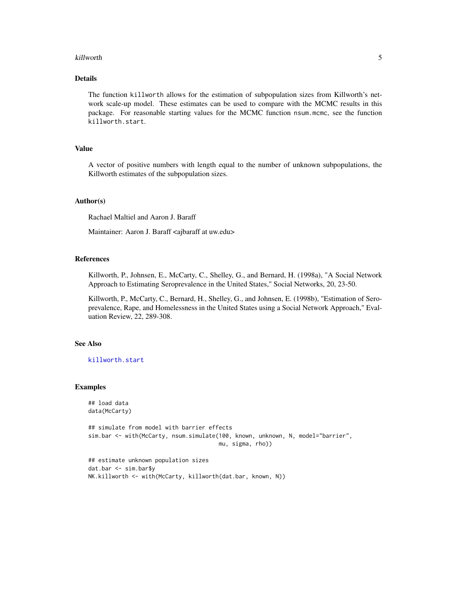#### <span id="page-4-0"></span>killworth 500 to 300 million with the state of the state of the state of the state of the state of the state of the state of the state of the state of the state of the state of the state of the state of the state of the st

# Details

The function killworth allows for the estimation of subpopulation sizes from Killworth's network scale-up model. These estimates can be used to compare with the MCMC results in this package. For reasonable starting values for the MCMC function nsum.mcmc, see the function killworth.start.

# Value

A vector of positive numbers with length equal to the number of unknown subpopulations, the Killworth estimates of the subpopulation sizes.

#### Author(s)

Rachael Maltiel and Aaron J. Baraff

Maintainer: Aaron J. Baraff <ajbaraff at uw.edu>

# References

Killworth, P., Johnsen, E., McCarty, C., Shelley, G., and Bernard, H. (1998a), "A Social Network Approach to Estimating Seroprevalence in the United States," Social Networks, 20, 23-50.

Killworth, P., McCarty, C., Bernard, H., Shelley, G., and Johnsen, E. (1998b), "Estimation of Seroprevalence, Rape, and Homelessness in the United States using a Social Network Approach," Evaluation Review, 22, 289-308.

# See Also

[killworth.start](#page-5-1)

#### Examples

```
## load data
data(McCarty)
## simulate from model with barrier effects
sim.bar <- with(McCarty, nsum.simulate(100, known, unknown, N, model="barrier",
                                       mu, sigma, rho))
## estimate unknown population sizes
dat.bar <- sim.bar$y
NK.killworth <- with(McCarty, killworth(dat.bar, known, N))
```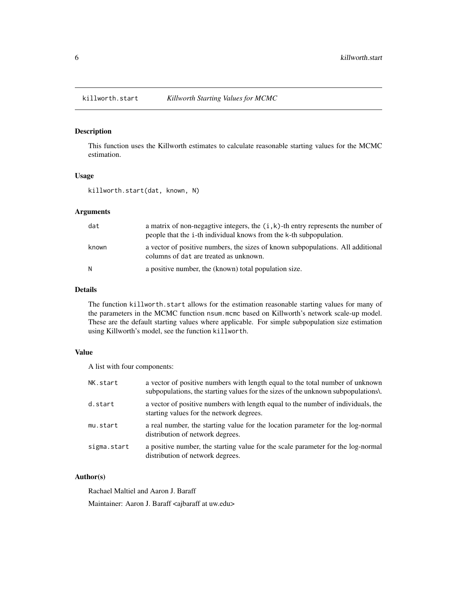<span id="page-5-1"></span><span id="page-5-0"></span>

# Description

This function uses the Killworth estimates to calculate reasonable starting values for the MCMC estimation.

# Usage

killworth.start(dat, known, N)

# Arguments

| dat   | a matrix of non-negagtive integers, the $(i, k)$ -th entry represents the number of<br>people that the i-th individual knows from the k-th subpopulation. |
|-------|-----------------------------------------------------------------------------------------------------------------------------------------------------------|
| known | a vector of positive numbers, the sizes of known subpopulations. All additional<br>columns of dat are treated as unknown.                                 |
| N     | a positive number, the (known) total population size.                                                                                                     |

#### Details

The function killworth. start allows for the estimation reasonable starting values for many of the parameters in the MCMC function nsum.mcmc based on Killworth's network scale-up model. These are the default starting values where applicable. For simple subpopulation size estimation using Killworth's model, see the function killworth.

#### Value

A list with four components:

| NK.start    | a vector of positive numbers with length equal to the total number of unknown<br>subpopulations, the starting values for the sizes of the unknown subpopulations. |
|-------------|-------------------------------------------------------------------------------------------------------------------------------------------------------------------|
| d.start     | a vector of positive numbers with length equal to the number of individuals, the<br>starting values for the network degrees.                                      |
| mu.start    | a real number, the starting value for the location parameter for the log-normal<br>distribution of network degrees.                                               |
| sigma.start | a positive number, the starting value for the scale parameter for the log-normal<br>distribution of network degrees.                                              |

# Author(s)

Rachael Maltiel and Aaron J. Baraff Maintainer: Aaron J. Baraff <ajbaraff at uw.edu>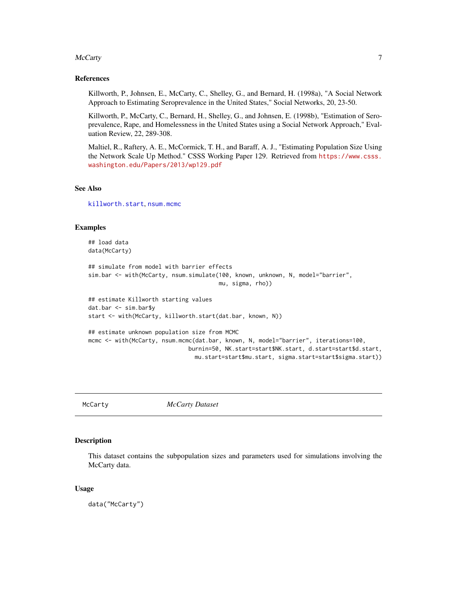#### <span id="page-6-0"></span>McCarty 7

#### References

Killworth, P., Johnsen, E., McCarty, C., Shelley, G., and Bernard, H. (1998a), "A Social Network Approach to Estimating Seroprevalence in the United States," Social Networks, 20, 23-50.

Killworth, P., McCarty, C., Bernard, H., Shelley, G., and Johnsen, E. (1998b), "Estimation of Seroprevalence, Rape, and Homelessness in the United States using a Social Network Approach," Evaluation Review, 22, 289-308.

Maltiel, R., Raftery, A. E., McCormick, T. H., and Baraff, A. J., "Estimating Population Size Using the Network Scale Up Method." CSSS Working Paper 129. Retrieved from [https://www.csss.](https://www.csss.washington.edu/Papers/2013/wp129.pdf) [washington.edu/Papers/2013/wp129.pdf](https://www.csss.washington.edu/Papers/2013/wp129.pdf)

#### See Also

[killworth.start](#page-5-1), [nsum.mcmc](#page-7-1)

#### Examples

```
## load data
data(McCarty)
## simulate from model with barrier effects
sim.bar <- with(McCarty, nsum.simulate(100, known, unknown, N, model="barrier",
                                       mu, sigma, rho))
## estimate Killworth starting values
dat.bar <- sim.bar$y
start <- with(McCarty, killworth.start(dat.bar, known, N))
## estimate unknown population size from MCMC
mcmc <- with(McCarty, nsum.mcmc(dat.bar, known, N, model="barrier", iterations=100,
                              burnin=50, NK.start=start$NK.start, d.start=start$d.start,
                                mu.start=start$mu.start, sigma.start=start$sigma.start))
```
<span id="page-6-1"></span>

McCarty *McCarty Dataset*

#### Description

This dataset contains the subpopulation sizes and parameters used for simulations involving the McCarty data.

#### Usage

data("McCarty")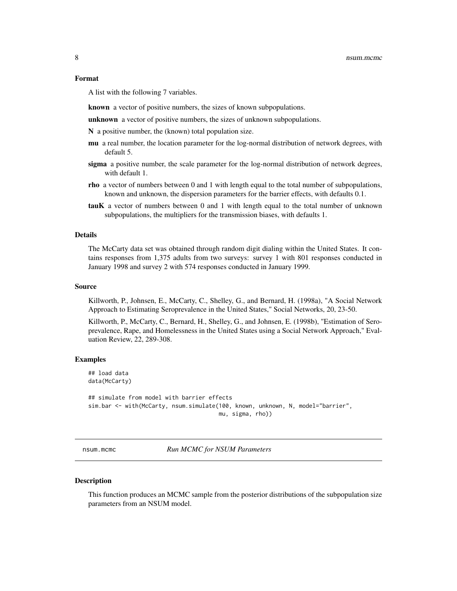<span id="page-7-0"></span>A list with the following 7 variables.

known a vector of positive numbers, the sizes of known subpopulations.

unknown a vector of positive numbers, the sizes of unknown subpopulations.

N a positive number, the (known) total population size.

- mu a real number, the location parameter for the log-normal distribution of network degrees, with default 5.
- sigma a positive number, the scale parameter for the log-normal distribution of network degrees, with default 1.
- rho a vector of numbers between 0 and 1 with length equal to the total number of subpopulations, known and unknown, the dispersion parameters for the barrier effects, with defaults 0.1.
- tauK a vector of numbers between 0 and 1 with length equal to the total number of unknown subpopulations, the multipliers for the transmission biases, with defaults 1.

### Details

The McCarty data set was obtained through random digit dialing within the United States. It contains responses from 1,375 adults from two surveys: survey 1 with 801 responses conducted in January 1998 and survey 2 with 574 responses conducted in January 1999.

#### Source

Killworth, P., Johnsen, E., McCarty, C., Shelley, G., and Bernard, H. (1998a), "A Social Network Approach to Estimating Seroprevalence in the United States," Social Networks, 20, 23-50.

Killworth, P., McCarty, C., Bernard, H., Shelley, G., and Johnsen, E. (1998b), "Estimation of Seroprevalence, Rape, and Homelessness in the United States using a Social Network Approach," Evaluation Review, 22, 289-308.

#### Examples

## load data data(McCarty)

```
## simulate from model with barrier effects
sim.bar <- with(McCarty, nsum.simulate(100, known, unknown, N, model="barrier",
                                       mu, sigma, rho))
```
<span id="page-7-1"></span>nsum.mcmc *Run MCMC for NSUM Parameters*

#### **Description**

This function produces an MCMC sample from the posterior distributions of the subpopulation size parameters from an NSUM model.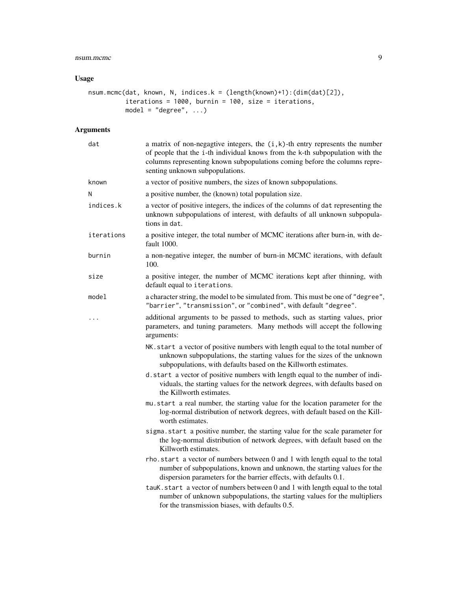# nsum.mcmc 9

# Usage

```
nsum.mcmc(dat, known, N, indices.k = (length(known)+1):(dim(dat)[2]),
          iterations = 1000, burnin = 100, size = iterations,
          model = "degree", \ldots)
```
# Arguments

| dat        | a matrix of non-negagtive integers, the $(i, k)$ -th entry represents the number<br>of people that the i-th individual knows from the k-th subpopulation with the<br>columns representing known subpopulations coming before the columns repre-<br>senting unknown subpopulations. |
|------------|------------------------------------------------------------------------------------------------------------------------------------------------------------------------------------------------------------------------------------------------------------------------------------|
| known      | a vector of positive numbers, the sizes of known subpopulations.                                                                                                                                                                                                                   |
| N          | a positive number, the (known) total population size.                                                                                                                                                                                                                              |
| indices.k  | a vector of positive integers, the indices of the columns of dat representing the<br>unknown subpopulations of interest, with defaults of all unknown subpopula-<br>tions in dat.                                                                                                  |
| iterations | a positive integer, the total number of MCMC iterations after burn-in, with de-<br>fault 1000.                                                                                                                                                                                     |
| burnin     | a non-negative integer, the number of burn-in MCMC iterations, with default<br>100.                                                                                                                                                                                                |
| size       | a positive integer, the number of MCMC iterations kept after thinning, with<br>default equal to iterations.                                                                                                                                                                        |
| model      | a character string, the model to be simulated from. This must be one of "degree",<br>"barrier", "transmission", or "combined", with default "degree".                                                                                                                              |
|            | additional arguments to be passed to methods, such as starting values, prior<br>parameters, and tuning parameters. Many methods will accept the following<br>arguments:                                                                                                            |
|            | NK. start a vector of positive numbers with length equal to the total number of<br>unknown subpopulations, the starting values for the sizes of the unknown<br>subpopulations, with defaults based on the Killworth estimates.                                                     |
|            | d. start a vector of positive numbers with length equal to the number of indi-<br>viduals, the starting values for the network degrees, with defaults based on<br>the Killworth estimates.                                                                                         |
|            | mu.start a real number, the starting value for the location parameter for the<br>log-normal distribution of network degrees, with default based on the Kill-<br>worth estimates.                                                                                                   |
|            | sigma.start a positive number, the starting value for the scale parameter for<br>the log-normal distribution of network degrees, with default based on the<br>Killworth estimates.                                                                                                 |
|            | rho.start a vector of numbers between 0 and 1 with length equal to the total<br>number of subpopulations, known and unknown, the starting values for the<br>dispersion parameters for the barrier effects, with defaults 0.1.                                                      |
|            | tauK.start a vector of numbers between 0 and 1 with length equal to the total<br>number of unknown subpopulations, the starting values for the multipliers<br>for the transmission biases, with defaults 0.5.                                                                      |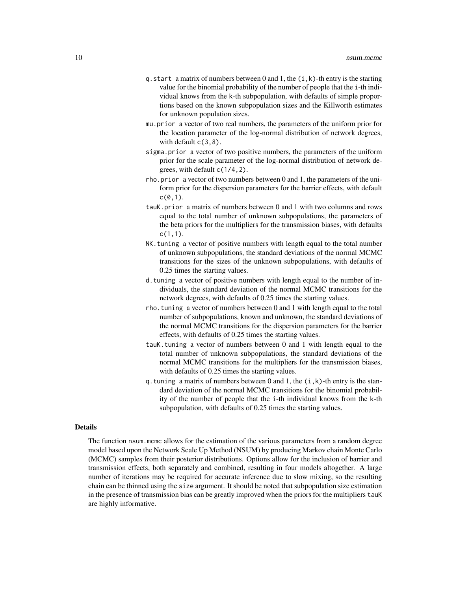- q. start a matrix of numbers between 0 and 1, the  $(i, k)$ -th entry is the starting value for the binomial probability of the number of people that the i-th individual knows from the k-th subpopulation, with defaults of simple proportions based on the known subpopulation sizes and the Killworth estimates for unknown population sizes.
- mu.prior a vector of two real numbers, the parameters of the uniform prior for the location parameter of the log-normal distribution of network degrees, with default  $c(3,8)$ .
- sigma.prior a vector of two positive numbers, the parameters of the uniform prior for the scale parameter of the log-normal distribution of network degrees, with default c(1/4,2).
- rho.prior a vector of two numbers between 0 and 1, the parameters of the uniform prior for the dispersion parameters for the barrier effects, with default  $c(0,1)$ .
- tauK.prior a matrix of numbers between 0 and 1 with two columns and rows equal to the total number of unknown subpopulations, the parameters of the beta priors for the multipliers for the transmission biases, with defaults c(1,1).
- NK.tuning a vector of positive numbers with length equal to the total number of unknown subpopulations, the standard deviations of the normal MCMC transitions for the sizes of the unknown subpopulations, with defaults of 0.25 times the starting values.
- d.tuning a vector of positive numbers with length equal to the number of individuals, the standard deviation of the normal MCMC transitions for the network degrees, with defaults of 0.25 times the starting values.
- rho.tuning a vector of numbers between 0 and 1 with length equal to the total number of subpopulations, known and unknown, the standard deviations of the normal MCMC transitions for the dispersion parameters for the barrier effects, with defaults of 0.25 times the starting values.
- tauK.tuning a vector of numbers between 0 and 1 with length equal to the total number of unknown subpopulations, the standard deviations of the normal MCMC transitions for the multipliers for the transmission biases, with defaults of 0.25 times the starting values.
- q.tuning a matrix of numbers between  $0$  and  $1$ , the  $(i, k)$ -th entry is the standard deviation of the normal MCMC transitions for the binomial probability of the number of people that the i-th individual knows from the k-th subpopulation, with defaults of 0.25 times the starting values.

#### Details

The function nsum.mcmc allows for the estimation of the various parameters from a random degree model based upon the Network Scale Up Method (NSUM) by producing Markov chain Monte Carlo (MCMC) samples from their posterior distributions. Options allow for the inclusion of barrier and transmission effects, both separately and combined, resulting in four models altogether. A large number of iterations may be required for accurate inference due to slow mixing, so the resulting chain can be thinned using the size argument. It should be noted that subpopulation size estimation in the presence of transmission bias can be greatly improved when the priors for the multipliers tauK are highly informative.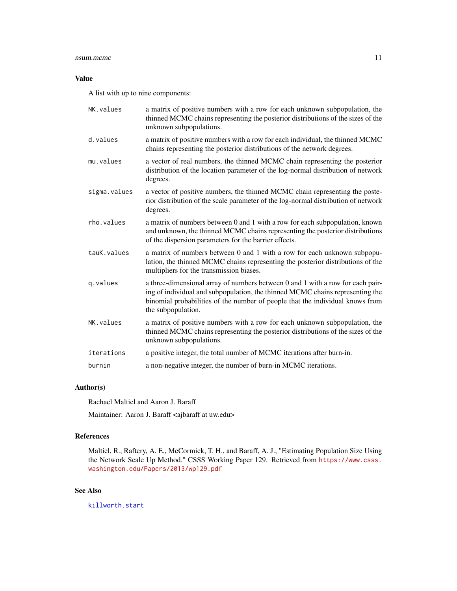#### <span id="page-10-0"></span>nsum.mcmc 11

# Value

A list with up to nine components:

| NK.values    | a matrix of positive numbers with a row for each unknown subpopulation, the<br>thinned MCMC chains representing the posterior distributions of the sizes of the<br>unknown subpopulations.                                                                             |
|--------------|------------------------------------------------------------------------------------------------------------------------------------------------------------------------------------------------------------------------------------------------------------------------|
| d.values     | a matrix of positive numbers with a row for each individual, the thinned MCMC<br>chains representing the posterior distributions of the network degrees.                                                                                                               |
| mu.values    | a vector of real numbers, the thinned MCMC chain representing the posterior<br>distribution of the location parameter of the log-normal distribution of network<br>degrees.                                                                                            |
| sigma.values | a vector of positive numbers, the thinned MCMC chain representing the poste-<br>rior distribution of the scale parameter of the log-normal distribution of network<br>degrees.                                                                                         |
| rho.values   | a matrix of numbers between 0 and 1 with a row for each subpopulation, known<br>and unknown, the thinned MCMC chains representing the posterior distributions<br>of the dispersion parameters for the barrier effects.                                                 |
| tauK.values  | a matrix of numbers between 0 and 1 with a row for each unknown subpopu-<br>lation, the thinned MCMC chains representing the posterior distributions of the<br>multipliers for the transmission biases.                                                                |
| q.values     | a three-dimensional array of numbers between 0 and 1 with a row for each pair-<br>ing of individual and subpopulation, the thinned MCMC chains representing the<br>binomial probabilities of the number of people that the individual knows from<br>the subpopulation. |
| NK. values   | a matrix of positive numbers with a row for each unknown subpopulation, the<br>thinned MCMC chains representing the posterior distributions of the sizes of the<br>unknown subpopulations.                                                                             |
| iterations   | a positive integer, the total number of MCMC iterations after burn-in.                                                                                                                                                                                                 |
| burnin       | a non-negative integer, the number of burn-in MCMC iterations.                                                                                                                                                                                                         |

# Author(s)

Rachael Maltiel and Aaron J. Baraff

Maintainer: Aaron J. Baraff <ajbaraff at uw.edu>

# References

Maltiel, R., Raftery, A. E., McCormick, T. H., and Baraff, A. J., "Estimating Population Size Using the Network Scale Up Method." CSSS Working Paper 129. Retrieved from [https://www.csss.](https://www.csss.washington.edu/Papers/2013/wp129.pdf) [washington.edu/Papers/2013/wp129.pdf](https://www.csss.washington.edu/Papers/2013/wp129.pdf)

# See Also

[killworth.start](#page-5-1)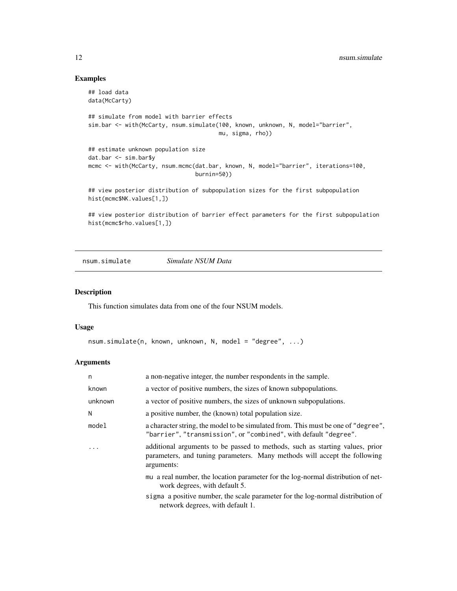# Examples

```
## load data
data(McCarty)
## simulate from model with barrier effects
sim.bar <- with(McCarty, nsum.simulate(100, known, unknown, N, model="barrier",
                                       mu, sigma, rho))
## estimate unknown population size
dat.bar <- sim.bar$y
mcmc <- with(McCarty, nsum.mcmc(dat.bar, known, N, model="barrier", iterations=100,
                                burnin=50))
## view posterior distribution of subpopulation sizes for the first subpopulation
hist(mcmc$NK.values[1,])
## view posterior distribution of barrier effect parameters for the first subpopulation
hist(mcmc$rho.values[1,])
```
<span id="page-11-1"></span>nsum.simulate *Simulate NSUM Data*

#### Description

This function simulates data from one of the four NSUM models.

#### Usage

```
nsum.simulate(n, known, unknown, N, model = "degree", ...)
```
#### Arguments

| n       | a non-negative integer, the number respondents in the sample.                                                                                                           |
|---------|-------------------------------------------------------------------------------------------------------------------------------------------------------------------------|
| known   | a vector of positive numbers, the sizes of known subpopulations.                                                                                                        |
| unknown | a vector of positive numbers, the sizes of unknown subpopulations.                                                                                                      |
| N       | a positive number, the (known) total population size.                                                                                                                   |
| model   | a character string, the model to be simulated from. This must be one of "degree",<br>"barrier", "transmission", or "combined", with default "degree".                   |
|         | additional arguments to be passed to methods, such as starting values, prior<br>parameters, and tuning parameters. Many methods will accept the following<br>arguments: |
|         | mu a real number, the location parameter for the log-normal distribution of net-<br>work degrees, with default 5.                                                       |
|         | sigma a positive number, the scale parameter for the log-normal distribution of                                                                                         |

network degrees, with default 1.

<span id="page-11-0"></span>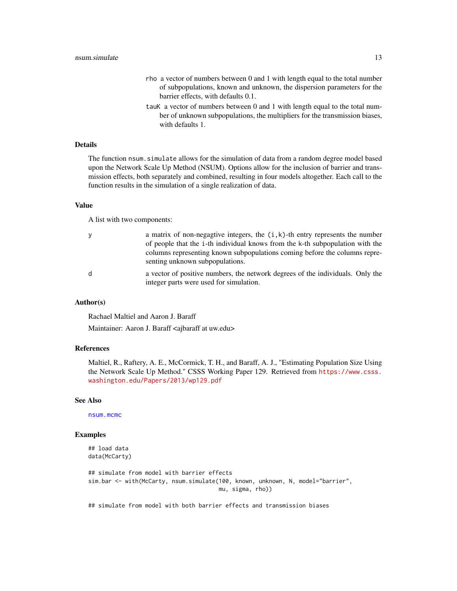- <span id="page-12-0"></span>rho a vector of numbers between 0 and 1 with length equal to the total number of subpopulations, known and unknown, the dispersion parameters for the barrier effects, with defaults 0.1.
- tauK a vector of numbers between 0 and 1 with length equal to the total number of unknown subpopulations, the multipliers for the transmission biases, with defaults 1.

# Details

The function nsum.simulate allows for the simulation of data from a random degree model based upon the Network Scale Up Method (NSUM). Options allow for the inclusion of barrier and transmission effects, both separately and combined, resulting in four models altogether. Each call to the function results in the simulation of a single realization of data.

#### Value

A list with two components:

| - V | a matrix of non-negagtive integers, the $(i, k)$ -th entry represents the number                              |
|-----|---------------------------------------------------------------------------------------------------------------|
|     | of people that the <i>i</i> -th individual knows from the k-th subpopulation with the                         |
|     | columns representing known subpopulations coming before the columns repre-<br>senting unknown subpopulations. |
| d   | a vector of positive numbers, the network degrees of the individuals. Only the                                |

# integer parts were used for simulation.

#### Author(s)

Rachael Maltiel and Aaron J. Baraff

Maintainer: Aaron J. Baraff <ajbaraff at uw.edu>

#### References

Maltiel, R., Raftery, A. E., McCormick, T. H., and Baraff, A. J., "Estimating Population Size Using the Network Scale Up Method." CSSS Working Paper 129. Retrieved from [https://www.csss.](https://www.csss.washington.edu/Papers/2013/wp129.pdf) [washington.edu/Papers/2013/wp129.pdf](https://www.csss.washington.edu/Papers/2013/wp129.pdf)

#### See Also

[nsum.mcmc](#page-7-1)

#### Examples

```
## load data
data(McCarty)
```

```
## simulate from model with barrier effects
sim.bar <- with(McCarty, nsum.simulate(100, known, unknown, N, model="barrier",
                                       mu, sigma, rho))
```
## simulate from model with both barrier effects and transmission biases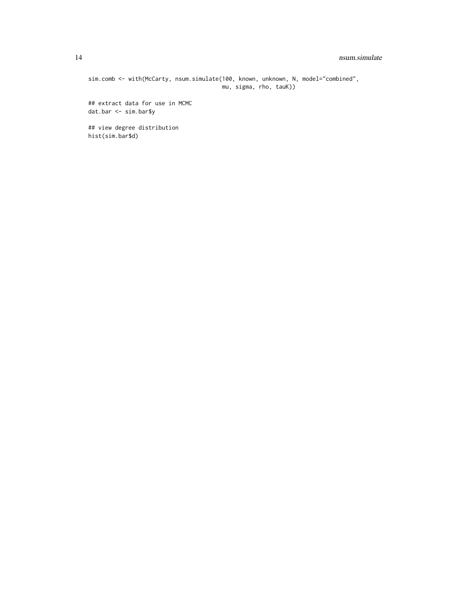### 14 nsum.simulate

sim.comb <- with(McCarty, nsum.simulate(100, known, unknown, N, model="combined", mu, sigma, rho, tauK))

## extract data for use in MCMC dat.bar <- sim.bar\$y

## view degree distribution hist(sim.bar\$d)